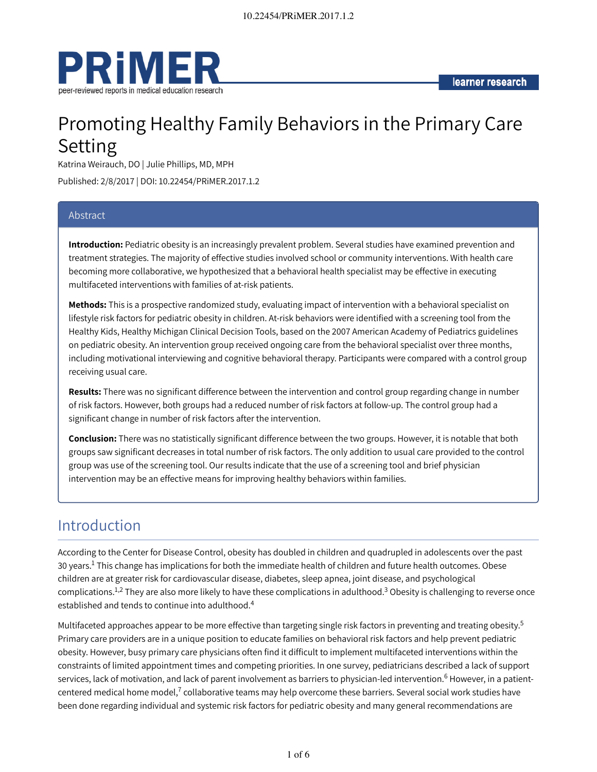

# Promoting Healthy Family Behaviors in the Primary Care Setting

Katrina Weirauch, DO | Julie Phillips, MD, MPH

Published: 2/8/2017 | DOI: 10.22454/PRiMER.2017.1.2

### Abstract

**Introduction:** Pediatric obesity is an increasingly prevalent problem. Several studies have examined prevention and treatment strategies. The majority of effective studies involved school or community interventions. With health care becoming more collaborative, we hypothesized that a behavioral health specialist may be effective in executing multifaceted interventions with families of at-risk patients.

**Methods:** This is a prospective randomized study, evaluating impact of intervention with a behavioral specialist on lifestyle risk factors for pediatric obesity in children. At-risk behaviors were identified with a screening tool from the Healthy Kids, Healthy Michigan Clinical Decision Tools, based on the 2007 American Academy of Pediatrics guidelines on pediatric obesity. An intervention group received ongoing care from the behavioral specialist over three months, including motivational interviewing and cognitive behavioral therapy. Participants were compared with a control group receiving usual care.

**Results:** There was no significant difference between the intervention and control group regarding change in number of risk factors. However, both groups had a reduced number of risk factors at follow-up. The control group had a significant change in number of risk factors after the intervention.

**Conclusion:** There was no statistically significant difference between the two groups. However, it is notable that both groups saw significant decreases in total number of risk factors. The only addition to usual care provided to the control group was use of the screening tool. Our results indicate that the use of a screening tool and brief physician intervention may be an effective means for improving healthy behaviors within families.

### Introduction

According to the Center for Disease Control, obesity has doubled in children and quadrupled in adolescents over the past 30 years. $^1$  This change has implications for both the immediate health of children and future health outcomes. Obese children are at greater risk for cardiovascular disease, diabetes, sleep apnea, joint disease, and psychological complications. $^{1,2}$  They are also more likely to have these complications in adulthood. $^3$  Obesity is challenging to reverse once established and tends to continue into adulthood. 4

Multifaceted approaches appear to be more effective than targeting single risk factors in preventing and treating obesity.<sup>5</sup> Primary care providers are in a unique position to educate families on behavioral risk factors and help prevent pediatric obesity. However, busy primary care physicians often find it difficult to implement multifaceted interventions within the constraints of limited appointment times and competing priorities. In one survey, pediatricians described a lack of support services, lack of motivation, and lack of parent involvement as barriers to physician-led intervention.<sup>6</sup> However, in a patientcentered medical home model, $^7$  collaborative teams may help overcome these barriers. Several social work studies have been done regarding individual and systemic risk factors for pediatric obesity and many general recommendations are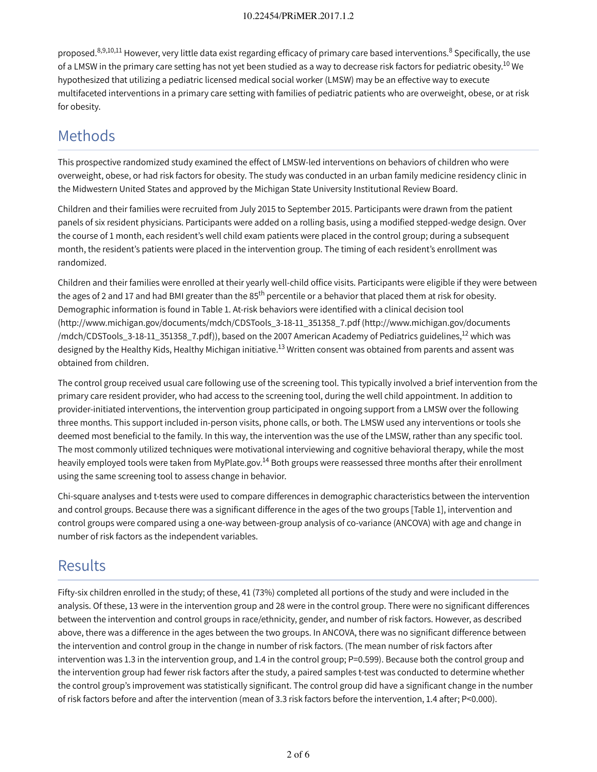proposed.<sup>8,9,10,11</sup> However, very little data exist regarding efficacy of primary care based interventions.<sup>8</sup> Specifically, the use of a LMSW in the primary care setting has not yet been studied as a way to decrease risk factors for pediatric obesity.<sup>10</sup> We hypothesized that utilizing a pediatric licensed medical social worker (LMSW) may be an effective way to execute multifaceted interventions in a primary care setting with families of pediatric patients who are overweight, obese, or at risk for obesity.

### Methods

This prospective randomized study examined the effect of LMSW-led interventions on behaviors of children who were overweight, obese, or had risk factors for obesity. The study was conducted in an urban family medicine residency clinic in the Midwestern United States and approved by the Michigan State University Institutional Review Board.

Children and their families were recruited from July 2015 to September 2015. Participants were drawn from the patient panels of six resident physicians. Participants were added on a rolling basis, using a modified stepped-wedge design. Over the course of 1 month, each resident's well child exam patients were placed in the control group; during a subsequent month, the resident's patients were placed in the intervention group. The timing of each resident's enrollment was randomized.

Children and their families were enrolled at their yearly well-child office visits. Participants were eligible if they were between the ages of 2 and 17 and had BMI greater than the 85<sup>th</sup> percentile or a behavior that placed them at risk for obesity. Demographic information is found in Table 1. At-risk behaviors were identified with a clinical decision tool (http://www.michigan.gov/documents/mdch/CDSTools\_3-18-11\_351358\_7.pdf (http://www.michigan.gov/documents /mdch/CDSTools\_3-18-11\_351358\_7.pdf)), based on the 2007 American Academy of Pediatrics guidelines,<sup>12</sup> which was designed by the Healthy Kids, Healthy Michigan initiative.<sup>13</sup> Written consent was obtained from parents and assent was obtained from children.

The control group received usual care following use of the screening tool. This typically involved a brief intervention from the primary care resident provider, who had access to the screening tool, during the well child appointment. In addition to provider-initiated interventions, the intervention group participated in ongoing support from a LMSW over the following three months. This support included in-person visits, phone calls, or both. The LMSW used any interventions or tools she deemed most beneficial to the family. In this way, the intervention was the use of the LMSW, rather than any specific tool. The most commonly utilized techniques were motivational interviewing and cognitive behavioral therapy, while the most heavily employed tools were taken from MyPlate.gov.<sup>14</sup> Both groups were reassessed three months after their enrollment using the same screening tool to assess change in behavior.

Chi-square analyses and t-tests were used to compare differences in demographic characteristics between the intervention and control groups. Because there was a significant difference in the ages of the two groups [Table 1], intervention and control groups were compared using a one-way between-group analysis of co-variance (ANCOVA) with age and change in number of risk factors as the independent variables.

## Results

Fifty-six children enrolled in the study; of these, 41 (73%) completed all portions of the study and were included in the analysis. Of these, 13 were in the intervention group and 28 were in the control group. There were no significant differences between the intervention and control groups in race/ethnicity, gender, and number of risk factors. However, as described above, there was a difference in the ages between the two groups. In ANCOVA, there was no significant difference between the intervention and control group in the change in number of risk factors. (The mean number of risk factors after intervention was 1.3 in the intervention group, and 1.4 in the control group; P=0.599). Because both the control group and the intervention group had fewer risk factors after the study, a paired samples t-test was conducted to determine whether the control group's improvement was statistically significant. The control group did have a significant change in the number of risk factors before and after the intervention (mean of 3.3 risk factors before the intervention, 1.4 after; P<0.000).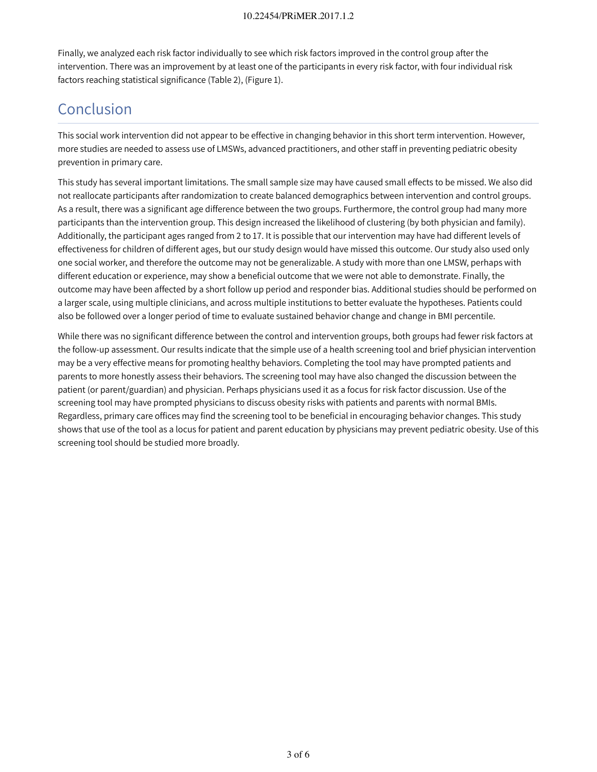Finally, we analyzed each risk factor individually to see which risk factors improved in the control group after the intervention. There was an improvement by at least one of the participants in every risk factor, with four individual risk factors reaching statistical significance (Table 2), (Figure 1).

# Conclusion

This social work intervention did not appear to be effective in changing behavior in this short term intervention. However, more studies are needed to assess use of LMSWs, advanced practitioners, and other staff in preventing pediatric obesity prevention in primary care.

This study has several important limitations. The small sample size may have caused small effects to be missed. We also did not reallocate participants after randomization to create balanced demographics between intervention and control groups. As a result, there was a significant age difference between the two groups. Furthermore, the control group had many more participants than the intervention group. This design increased the likelihood of clustering (by both physician and family). Additionally, the participant ages ranged from 2 to 17. It is possible that our intervention may have had different levels of effectiveness for children of different ages, but our study design would have missed this outcome. Our study also used only one social worker, and therefore the outcome may not be generalizable. A study with more than one LMSW, perhaps with different education or experience, may show a beneficial outcome that we were not able to demonstrate. Finally, the outcome may have been affected by a short follow up period and responder bias. Additional studies should be performed on a larger scale, using multiple clinicians, and across multiple institutions to better evaluate the hypotheses. Patients could also be followed over a longer period of time to evaluate sustained behavior change and change in BMI percentile.

While there was no significant difference between the control and intervention groups, both groups had fewer risk factors at the follow-up assessment. Our results indicate that the simple use of a health screening tool and brief physician intervention may be a very effective means for promoting healthy behaviors. Completing the tool may have prompted patients and parents to more honestly assess their behaviors. The screening tool may have also changed the discussion between the patient (or parent/guardian) and physician. Perhaps physicians used it as a focus for risk factor discussion. Use of the screening tool may have prompted physicians to discuss obesity risks with patients and parents with normal BMIs. Regardless, primary care offices may find the screening tool to be beneficial in encouraging behavior changes. This study shows that use of the tool as a locus for patient and parent education by physicians may prevent pediatric obesity. Use of this screening tool should be studied more broadly.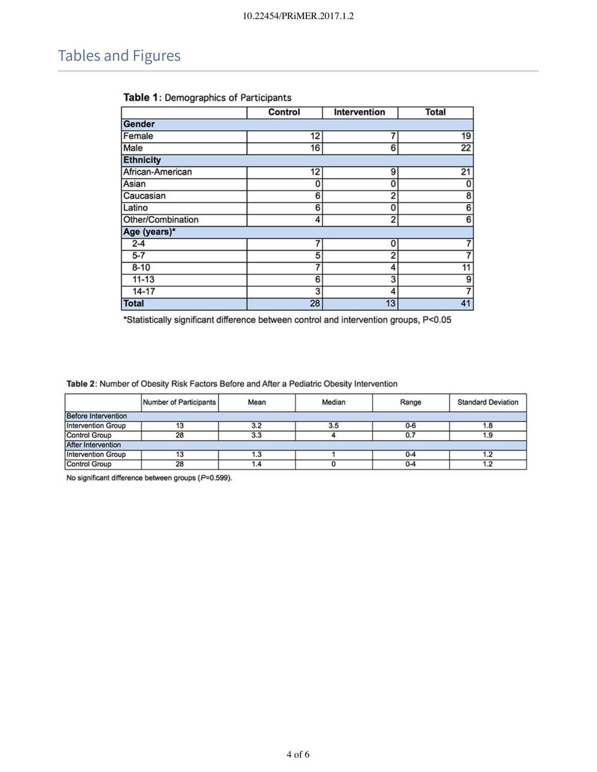# Tables and Figures

|                   | <b>Control</b> | <b>Intervention</b> | <b>Total</b>    |
|-------------------|----------------|---------------------|-----------------|
| Gender            |                |                     |                 |
| Female            | 12             | 7                   | 19              |
| Male              | 16             | 6                   | $\overline{22}$ |
| <b>Ethnicity</b>  |                |                     |                 |
| African-American  | 12             | 9                   | $\overline{21}$ |
| Asian             | 0              | 0                   | 0               |
| Caucasian         | 6              | 2                   | 8               |
| Latino            | 6              | 0                   | $\overline{6}$  |
| Other/Combination | 4              | 2                   | 6               |
| Age (years)*      |                |                     |                 |
| $2 - 4$           |                | 0                   |                 |
| $5-7$             | 5              | $\overline{2}$      |                 |
| $8 - 10$          |                | 4                   | $\overline{11}$ |
| $11 - 13$         | 6              | 3                   | 9               |
| $14 - 17$         | 3              | 4                   |                 |
| <b>Total</b>      | 28             | 13                  | 41              |

### Table 1: Demographics of Participants

\*Statistically significant difference between control and intervention groups, P<0.05

Table 2: Number of Obesity Risk Factors Before and After a Pediatric Obesity Intervention

|                            | Number of Participants | Mean | Median | Range   | <b>Standard Deviation</b> |  |  |
|----------------------------|------------------------|------|--------|---------|---------------------------|--|--|
| <b>Before Intervention</b> |                        |      |        |         |                           |  |  |
| <b>Intervention Group</b>  | 13                     | 3.2  | 3.5    | $0-6$   | 1.8                       |  |  |
| <b>Control Group</b>       | 28                     | 3.3  |        | 0.7     | 1.9                       |  |  |
| <b>After Intervention</b>  |                        |      |        |         |                           |  |  |
| <b>Intervention Group</b>  | 13                     | 1.3  |        | $0 - 4$ |                           |  |  |
| <b>Control Group</b>       | 28                     |      |        | $0 - 4$ |                           |  |  |

No significant difference between groups (P=0.599).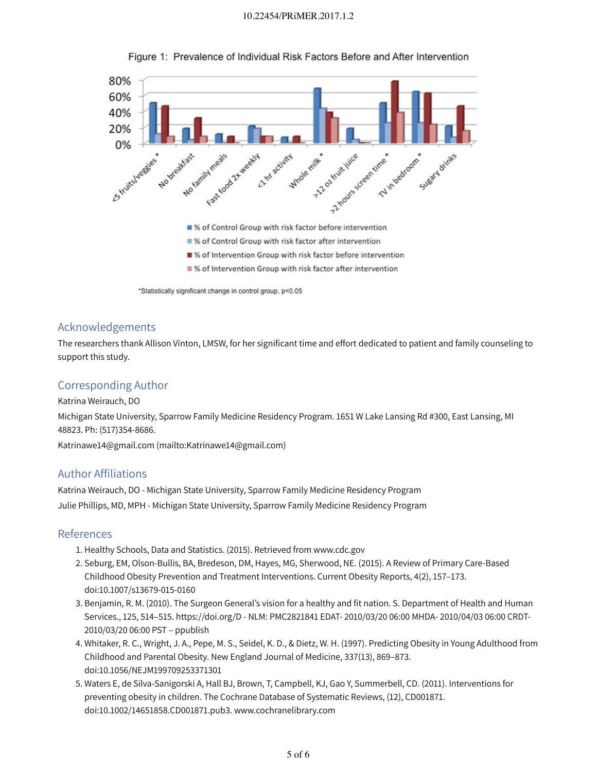#### 10.22454/PRiMER.2017.1.2



Figure 1: Prevalence of Individual Risk Factors Before and After Intervention

\*Statistically significant change in control group, p<0.05

#### Acknowledgements

The researchers thank Allison Vinton, LMSW, for her significant time and effort dedicated to patient and family counseling to support this study.

#### Corresponding Author

Katrina Weirauch, DO Michigan State University, Sparrow Family Medicine Residency Program. 1651 W Lake Lansing Rd #300, East Lansing, MI 48823. Ph: (517)354-8686. Katrinawe14@gmail.com (mailto:Katrinawe14@gmail.com)

### Author Affiliations

Katrina Weirauch, DO - Michigan State University, Sparrow Family Medicine Residency Program Julie Phillips, MD, MPH - Michigan State University, Sparrow Family Medicine Residency Program

#### References

- 1. Healthy Schools, Data and Statistics. (2015). Retrieved from www.cdc.gov
- 2. Seburg, EM, Olson-Bullis, BA, Bredeson, DM, Hayes, MG, Sherwood, NE. (2015). A Review of Primary Care-Based Childhood Obesity Prevention and Treatment Interventions. Current Obesity Reports, 4(2), 157–173. doi:10.1007/s13679-015-0160
- 3. Benjamin, R. M. (2010). The Surgeon General's vision for a healthy and fit nation. S. Department of Health and Human Services., 125, 514–515. https://doi.org/D - NLM: PMC2821841 EDAT- 2010/03/20 06:00 MHDA- 2010/04/03 06:00 CRDT-2010/03/20 06:00 PST – ppublish
- 4. Whitaker, R. C., Wright, J. A., Pepe, M. S., Seidel, K. D., & Dietz, W. H. (1997). Predicting Obesity in Young Adulthood from Childhood and Parental Obesity. New England Journal of Medicine, 337(13), 869–873. doi:10.1056/NEJM199709253371301
- 5. Waters E, de Silva-Sanigorski A, Hall BJ, Brown, T, Campbell, KJ, Gao Y, Summerbell, CD. (2011). Interventions for preventing obesity in children. The Cochrane Database of Systematic Reviews, (12), CD001871. doi:10.1002/14651858.CD001871.pub3. www.cochranelibrary.com